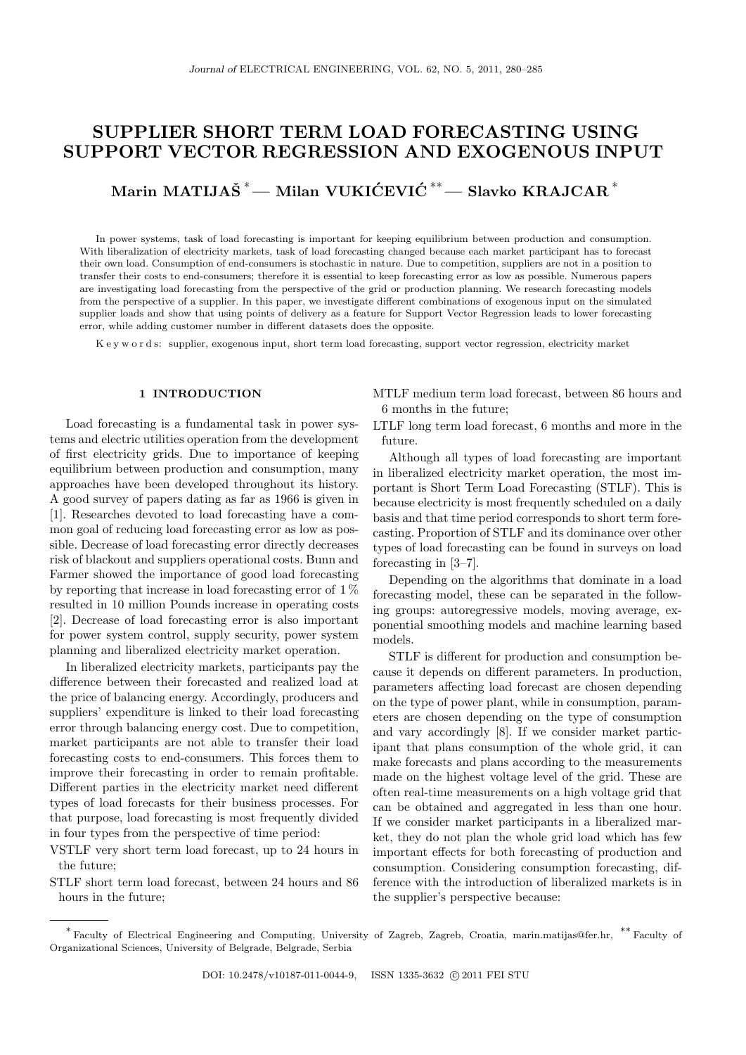# **SUPPLIER SHORT TERM LOAD FORECASTING USING SUPPORT VECTOR REGRESSION AND EXOGENOUS INPUT**

**Marin MATIJASˇ** *<sup>∗</sup>***— Milan VUKICEVI ´ C´** *∗∗***— Slavko KRAJCAR** *∗*

In power systems, task of load forecasting is important for keeping equilibrium between production and consumption. With liberalization of electricity markets, task of load forecasting changed because each market participant has to forecast their own load. Consumption of end-consumers is stochastic in nature. Due to competition, suppliers are not in a position to transfer their costs to end-consumers; therefore it is essential to keep forecasting error as low as possible. Numerous papers are investigating load forecasting from the perspective of the grid or production planning. We research forecasting models from the perspective of a supplier. In this paper, we investigate different combinations of exogenous input on the simulated supplier loads and show that using points of delivery as a feature for Support Vector Regression leads to lower forecasting error, while adding customer number in different datasets does the opposite.

K e y w o r d s: supplier, exogenous input, short term load forecasting, support vector regression, electricity market

## **1 INTRODUCTION**

Load forecasting is a fundamental task in power systems and electric utilities operation from the development of first electricity grids. Due to importance of keeping equilibrium between production and consumption, many approaches have been developed throughout its history. A good survey of papers dating as far as 1966 is given in [1]. Researches devoted to load forecasting have a common goal of reducing load forecasting error as low as possible. Decrease of load forecasting error directly decreases risk of blackout and suppliers operational costs. Bunn and Farmer showed the importance of good load forecasting by reporting that increase in load forecasting error of  $1\%$ resulted in 10 million Pounds increase in operating costs [2]. Decrease of load forecasting error is also important for power system control, supply security, power system planning and liberalized electricity market operation.

In liberalized electricity markets, participants pay the difference between their forecasted and realized load at the price of balancing energy. Accordingly, producers and suppliers' expenditure is linked to their load forecasting error through balancing energy cost. Due to competition, market participants are not able to transfer their load forecasting costs to end-consumers. This forces them to improve their forecasting in order to remain profitable. Different parties in the electricity market need different types of load forecasts for their business processes. For that purpose, load forecasting is most frequently divided in four types from the perspective of time period:

- VSTLF very short term load forecast, up to 24 hours in the future;
- STLF short term load forecast, between 24 hours and 86 hours in the future;

MTLF medium term load forecast, between 86 hours and 6 months in the future;

LTLF long term load forecast, 6 months and more in the future.

Although all types of load forecasting are important in liberalized electricity market operation, the most important is Short Term Load Forecasting (STLF). This is because electricity is most frequently scheduled on a daily basis and that time period corresponds to short term forecasting. Proportion of STLF and its dominance over other types of load forecasting can be found in surveys on load forecasting in [3–7].

Depending on the algorithms that dominate in a load forecasting model, these can be separated in the following groups: autoregressive models, moving average, exponential smoothing models and machine learning based models.

STLF is different for production and consumption because it depends on different parameters. In production, parameters affecting load forecast are chosen depending on the type of power plant, while in consumption, parameters are chosen depending on the type of consumption and vary accordingly [8]. If we consider market participant that plans consumption of the whole grid, it can make forecasts and plans according to the measurements made on the highest voltage level of the grid. These are often real-time measurements on a high voltage grid that can be obtained and aggregated in less than one hour. If we consider market participants in a liberalized market, they do not plan the whole grid load which has few important effects for both forecasting of production and consumption. Considering consumption forecasting, difference with the introduction of liberalized markets is in the supplier's perspective because:

*<sup>∗</sup>* Faculty of Electrical Engineering and Computing, University of Zagreb, Zagreb, Croatia, marin.matijas@fer.hr, *∗∗* Faculty of Organizational Sciences, University of Belgrade, Belgrade, Serbia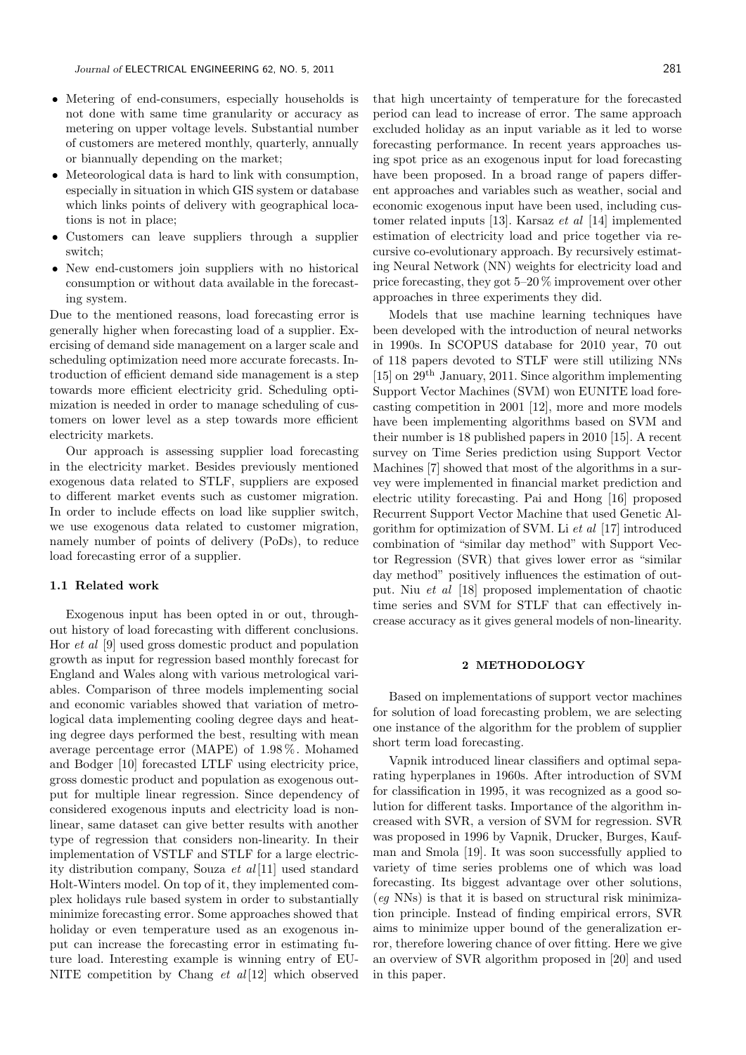- *•* Metering of end-consumers, especially households is not done with same time granularity or accuracy as metering on upper voltage levels. Substantial number of customers are metered monthly, quarterly, annually or biannually depending on the market;
- *•* Meteorological data is hard to link with consumption, especially in situation in which GIS system or database which links points of delivery with geographical locations is not in place;
- *•* Customers can leave suppliers through a supplier switch;
- New end-customers join suppliers with no historical consumption or without data available in the forecasting system.

Due to the mentioned reasons, load forecasting error is generally higher when forecasting load of a supplier. Exercising of demand side management on a larger scale and scheduling optimization need more accurate forecasts. Introduction of efficient demand side management is a step towards more efficient electricity grid. Scheduling optimization is needed in order to manage scheduling of customers on lower level as a step towards more efficient electricity markets.

Our approach is assessing supplier load forecasting in the electricity market. Besides previously mentioned exogenous data related to STLF, suppliers are exposed to different market events such as customer migration. In order to include effects on load like supplier switch, we use exogenous data related to customer migration, namely number of points of delivery (PoDs), to reduce load forecasting error of a supplier.

## **1.1 Related work**

Exogenous input has been opted in or out, throughout history of load forecasting with different conclusions. Hor *et al* [9] used gross domestic product and population growth as input for regression based monthly forecast for England and Wales along with various metrological variables. Comparison of three models implementing social and economic variables showed that variation of metrological data implementing cooling degree days and heating degree days performed the best, resulting with mean average percentage error (MAPE) of 1*.*98 %. Mohamed and Bodger [10] forecasted LTLF using electricity price, gross domestic product and population as exogenous output for multiple linear regression. Since dependency of considered exogenous inputs and electricity load is nonlinear, same dataset can give better results with another type of regression that considers non-linearity. In their implementation of VSTLF and STLF for a large electricity distribution company, Souza *et al* [11] used standard Holt-Winters model. On top of it, they implemented complex holidays rule based system in order to substantially minimize forecasting error. Some approaches showed that holiday or even temperature used as an exogenous input can increase the forecasting error in estimating future load. Interesting example is winning entry of EU-NITE competition by Chang *et al* [12] which observed that high uncertainty of temperature for the forecasted period can lead to increase of error. The same approach excluded holiday as an input variable as it led to worse forecasting performance. In recent years approaches using spot price as an exogenous input for load forecasting have been proposed. In a broad range of papers different approaches and variables such as weather, social and economic exogenous input have been used, including customer related inputs [13]. Karsaz *et al* [14] implemented estimation of electricity load and price together via recursive co-evolutionary approach. By recursively estimating Neural Network (NN) weights for electricity load and price forecasting, they got 5–20 % improvement over other approaches in three experiments they did.

Models that use machine learning techniques have been developed with the introduction of neural networks in 1990s. In SCOPUS database for 2010 year, 70 out of 118 papers devoted to STLF were still utilizing NNs [15] on 29th January, 2011. Since algorithm implementing Support Vector Machines (SVM) won EUNITE load forecasting competition in 2001 [12], more and more models have been implementing algorithms based on SVM and their number is 18 published papers in 2010 [15]. A recent survey on Time Series prediction using Support Vector Machines [7] showed that most of the algorithms in a survey were implemented in financial market prediction and electric utility forecasting. Pai and Hong [16] proposed Recurrent Support Vector Machine that used Genetic Algorithm for optimization of SVM. Li *et al* [17] introduced combination of "similar day method" with Support Vector Regression (SVR) that gives lower error as "similar day method" positively influences the estimation of output. Niu *et al* [18] proposed implementation of chaotic time series and SVM for STLF that can effectively increase accuracy as it gives general models of non-linearity.

## **2 METHODOLOGY**

Based on implementations of support vector machines for solution of load forecasting problem, we are selecting one instance of the algorithm for the problem of supplier short term load forecasting.

Vapnik introduced linear classifiers and optimal separating hyperplanes in 1960s. After introduction of SVM for classification in 1995, it was recognized as a good solution for different tasks. Importance of the algorithm increased with SVR, a version of SVM for regression. SVR was proposed in 1996 by Vapnik, Drucker, Burges, Kaufman and Smola [19]. It was soon successfully applied to variety of time series problems one of which was load forecasting. Its biggest advantage over other solutions, (*eg* NNs) is that it is based on structural risk minimization principle. Instead of finding empirical errors, SVR aims to minimize upper bound of the generalization error, therefore lowering chance of over fitting. Here we give an overview of SVR algorithm proposed in [20] and used in this paper.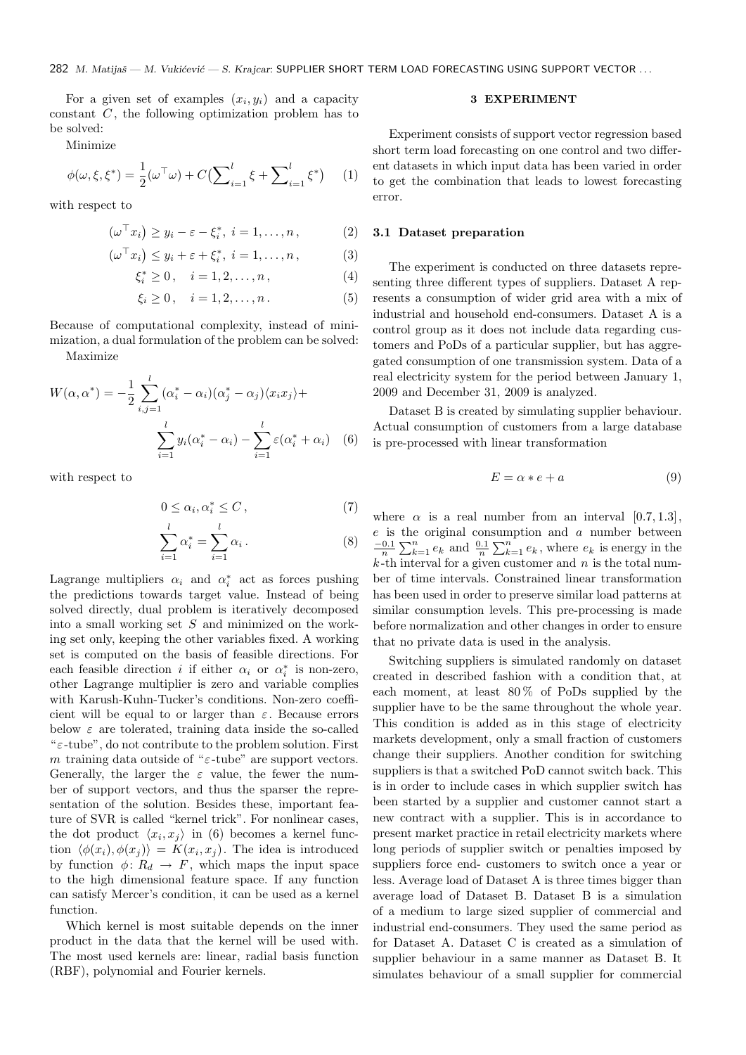For a given set of examples  $(x_i, y_i)$  and a capacity constant *C* , the following optimization problem has to be solved:

Minimize

$$
\phi(\omega, \xi, \xi^*) = \frac{1}{2}(\omega^{\top}\omega) + C(\sum_{i=1}^{l} \xi + \sum_{i=1}^{l} \xi^*)
$$
 (1)

with respect to

$$
(\omega^{\top} x_i) \ge y_i - \varepsilon - \xi_i^*, \ i = 1, \dots, n, \tag{2}
$$

$$
(\omega^{\top} x_i) \leq y_i + \varepsilon + \xi_i^*, \ i = 1, \dots, n, \tag{3}
$$

$$
\xi_i^* \ge 0, \quad i = 1, 2, \dots, n \,, \tag{4}
$$

$$
\xi_i \ge 0, \quad i = 1, 2, ..., n.
$$
 (5)

Because of computational complexity, instead of minimization, a dual formulation of the problem can be solved: Maximize

$$
W(\alpha, \alpha^*) = -\frac{1}{2} \sum_{i,j=1}^l (\alpha_i^* - \alpha_i)(\alpha_j^* - \alpha_j)\langle x_i x_j \rangle +
$$

$$
\sum_{i=1}^l y_i(\alpha_i^* - \alpha_i) - \sum_{i=1}^l \varepsilon(\alpha_i^* + \alpha_i) \quad (6)
$$

with respect to

$$
0 \le \alpha_i, \alpha_i^* \le C \,, \tag{7}
$$

$$
\sum_{i=1}^{l} \alpha_i^* = \sum_{i=1}^{l} \alpha_i.
$$
 (8)

Lagrange multipliers  $\alpha_i$  and  $\alpha_i^*$  act as forces pushing the predictions towards target value. Instead of being solved directly, dual problem is iteratively decomposed into a small working set *S* and minimized on the working set only, keeping the other variables fixed. A working set is computed on the basis of feasible directions. For each feasible direction *i* if either  $\alpha_i$  or  $\alpha_i^*$  is non-zero, other Lagrange multiplier is zero and variable complies with Karush-Kuhn-Tucker's conditions. Non-zero coefficient will be equal to or larger than *ε*. Because errors below  $\varepsilon$  are tolerated, training data inside the so-called "*ε*-tube", do not contribute to the problem solution. First *m* training data outside of "*ε*-tube" are support vectors. Generally, the larger the  $\varepsilon$  value, the fewer the number of support vectors, and thus the sparser the representation of the solution. Besides these, important feature of SVR is called "kernel trick". For nonlinear cases, the dot product  $\langle x_i, x_j \rangle$  in (6) becomes a kernel function  $\langle \phi(x_i), \phi(x_j) \rangle = K(x_i, x_j)$ . The idea is introduced by function  $\phi: R_d \to F$ , which maps the input space to the high dimensional feature space. If any function can satisfy Mercer's condition, it can be used as a kernel function.

Which kernel is most suitable depends on the inner product in the data that the kernel will be used with. The most used kernels are: linear, radial basis function (RBF), polynomial and Fourier kernels.

## **3 EXPERIMENT**

Experiment consists of support vector regression based short term load forecasting on one control and two different datasets in which input data has been varied in order to get the combination that leads to lowest forecasting error.

#### **3.1 Dataset preparation**

The experiment is conducted on three datasets representing three different types of suppliers. Dataset A represents a consumption of wider grid area with a mix of industrial and household end-consumers. Dataset A is a control group as it does not include data regarding customers and PoDs of a particular supplier, but has aggregated consumption of one transmission system. Data of a real electricity system for the period between January 1, 2009 and December 31, 2009 is analyzed.

Dataset B is created by simulating supplier behaviour. Actual consumption of customers from a large database is pre-processed with linear transformation

$$
E = \alpha * e + a \tag{9}
$$

where  $\alpha$  is a real number from an interval [0.7*,* 1.3], *e* is the original consumption and *a* number between  $\frac{-0.1}{n} \sum_{k=1}^{n} e_k$  and  $\frac{0.1}{n} \sum_{k=1}^{n} e_k$ , where  $e_k$  is energy in the  $k$ -th interval for a given customer and  $n$  is the total number of time intervals. Constrained linear transformation has been used in order to preserve similar load patterns at similar consumption levels. This pre-processing is made before normalization and other changes in order to ensure that no private data is used in the analysis.

Switching suppliers is simulated randomly on dataset created in described fashion with a condition that, at each moment, at least  $80\%$  of PoDs supplied by the supplier have to be the same throughout the whole year. This condition is added as in this stage of electricity markets development, only a small fraction of customers change their suppliers. Another condition for switching suppliers is that a switched PoD cannot switch back. This is in order to include cases in which supplier switch has been started by a supplier and customer cannot start a new contract with a supplier. This is in accordance to present market practice in retail electricity markets where long periods of supplier switch or penalties imposed by suppliers force end- customers to switch once a year or less. Average load of Dataset A is three times bigger than average load of Dataset B. Dataset B is a simulation of a medium to large sized supplier of commercial and industrial end-consumers. They used the same period as for Dataset A. Dataset C is created as a simulation of supplier behaviour in a same manner as Dataset B. It simulates behaviour of a small supplier for commercial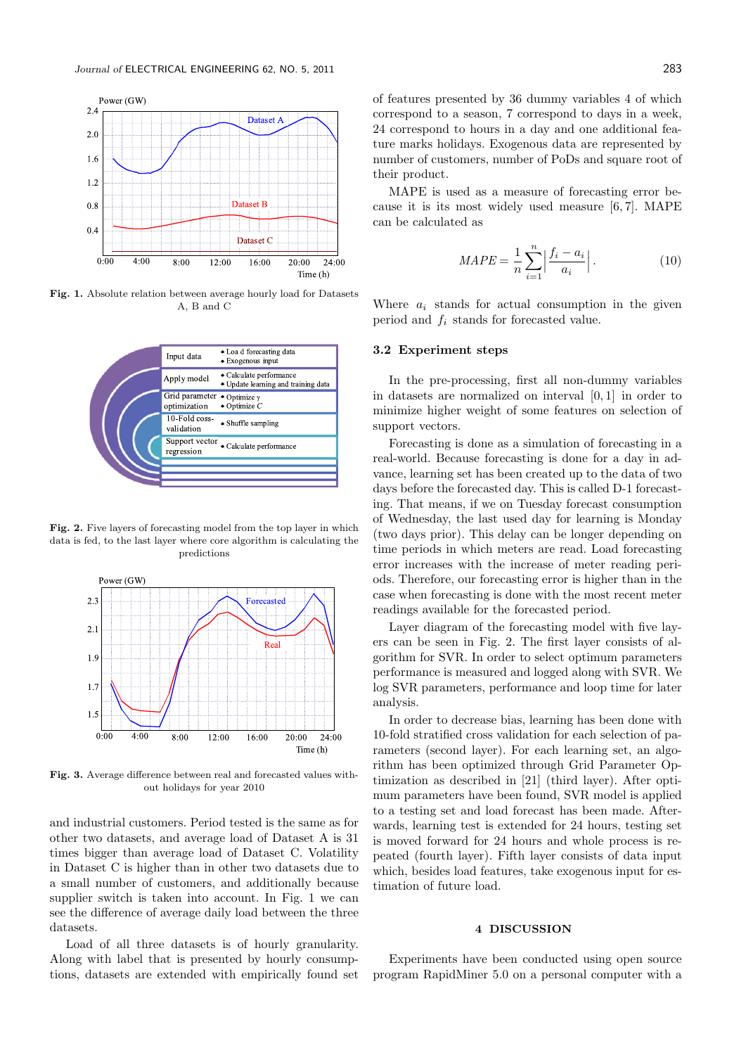

**Fig. 1.** Absolute relation between average hourly load for Datasets A, B and C



**Fig. 2.** Five layers of forecasting model from the top layer in which data is fed, to the last layer where core algorithm is calculating the predictions



**Fig. 3.** Average difference between real and forecasted values without holidays for year 2010

and industrial customers. Period tested is the same as for other two datasets, and average load of Dataset A is 31 times bigger than average load of Dataset C. Volatility in Dataset C is higher than in other two datasets due to a small number of customers, and additionally because supplier switch is taken into account. In Fig. 1 we can see the difference of average daily load between the three datasets.

Load of all three datasets is of hourly granularity. Along with label that is presented by hourly consumptions, datasets are extended with empirically found set of features presented by 36 dummy variables 4 of which correspond to a season, 7 correspond to days in a week, 24 correspond to hours in a day and one additional feature marks holidays. Exogenous data are represented by number of customers, number of PoDs and square root of their product.

MAPE is used as a measure of forecasting error because it is its most widely used measure [6, 7]. MAPE can be calculated as

$$
MAPE = \frac{1}{n} \sum_{i=1}^{n} \left| \frac{f_i - a_i}{a_i} \right|.
$$
 (10)

Where *a<sup>i</sup>* stands for actual consumption in the given period and *f<sup>i</sup>* stands for forecasted value.

## **3.2 Experiment steps**

In the pre-processing, first all non-dummy variables in datasets are normalized on interval [0*,* 1] in order to minimize higher weight of some features on selection of support vectors.

Forecasting is done as a simulation of forecasting in a real-world. Because forecasting is done for a day in advance, learning set has been created up to the data of two days before the forecasted day. This is called D-1 forecasting. That means, if we on Tuesday forecast consumption of Wednesday, the last used day for learning is Monday (two days prior). This delay can be longer depending on time periods in which meters are read. Load forecasting error increases with the increase of meter reading periods. Therefore, our forecasting error is higher than in the case when forecasting is done with the most recent meter readings available for the forecasted period.

Layer diagram of the forecasting model with five layers can be seen in Fig. 2. The first layer consists of algorithm for SVR. In order to select optimum parameters performance is measured and logged along with SVR. We log SVR parameters, performance and loop time for later analysis.

In order to decrease bias, learning has been done with 10-fold stratified cross validation for each selection of parameters (second layer). For each learning set, an algorithm has been optimized through Grid Parameter Optimization as described in [21] (third layer). After optimum parameters have been found, SVR model is applied to a testing set and load forecast has been made. Afterwards, learning test is extended for 24 hours, testing set is moved forward for 24 hours and whole process is repeated (fourth layer). Fifth layer consists of data input which, besides load features, take exogenous input for estimation of future load.

#### **4 DISCUSSION**

Experiments have been conducted using open source program RapidMiner 5.0 on a personal computer with a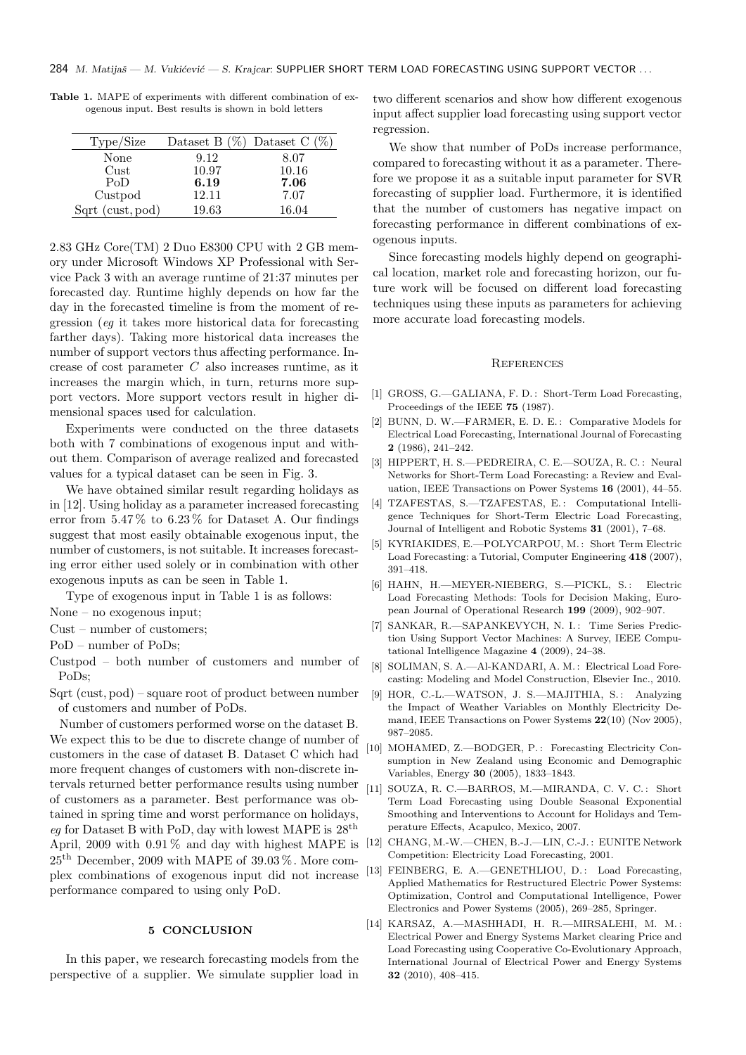| Table 1. MAPE of experiments with different combination of ex- |  |  |  |  |  |
|----------------------------------------------------------------|--|--|--|--|--|
| ogenous input. Best results is shown in bold letters           |  |  |  |  |  |

| Type/Size        | Dataset B $(\%)$ Dataset C $(\%)$ |       |
|------------------|-----------------------------------|-------|
| None             | 9.12                              | 8.07  |
| Cust             | 10.97                             | 10.16 |
| PoD              | 6.19                              | 7.06  |
| Custpod          | 12.11                             | 7.07  |
| Sqrt (cust, pod) | 19.63                             | 16.04 |

2*.*83 GHz Core(TM) 2 Duo E8300 CPU with 2 GB memory under Microsoft Windows XP Professional with Service Pack 3 with an average runtime of 21:37 minutes per forecasted day. Runtime highly depends on how far the day in the forecasted timeline is from the moment of regression (*eg* it takes more historical data for forecasting farther days). Taking more historical data increases the number of support vectors thus affecting performance. Increase of cost parameter *C* also increases runtime, as it increases the margin which, in turn, returns more support vectors. More support vectors result in higher dimensional spaces used for calculation.

Experiments were conducted on the three datasets both with 7 combinations of exogenous input and without them. Comparison of average realized and forecasted values for a typical dataset can be seen in Fig. 3.

We have obtained similar result regarding holidays as in [12]. Using holiday as a parameter increased forecasting error from 5*.*47 % to 6*.*23 % for Dataset A. Our findings suggest that most easily obtainable exogenous input, the number of customers, is not suitable. It increases forecasting error either used solely or in combination with other exogenous inputs as can be seen in Table 1.

Type of exogenous input in Table 1 is as follows:

None – no exogenous input;

Cust – number of customers;

PoD – number of PoDs;

Custpod – both number of customers and number of PoDs;

Sqrt (cust, pod) – square root of product between number of customers and number of PoDs.

Number of customers performed worse on the dataset B. We expect this to be due to discrete change of number of customers in the case of dataset B. Dataset C which had more frequent changes of customers with non-discrete intervals returned better performance results using number of customers as a parameter. Best performance was obtained in spring time and worst performance on holidays, *eg* for Dataset B with PoD, day with lowest MAPE is 28th April, 2009 with 0*.*91 % and day with highest MAPE is 25th December, 2009 with MAPE of 39*.*03 %. More complex combinations of exogenous input did not increase performance compared to using only PoD.

## **5 CONCLUSION**

In this paper, we research forecasting models from the perspective of a supplier. We simulate supplier load in

two different scenarios and show how different exogenous input affect supplier load forecasting using support vector regression.

We show that number of PoDs increase performance, compared to forecasting without it as a parameter. Therefore we propose it as a suitable input parameter for SVR forecasting of supplier load. Furthermore, it is identified that the number of customers has negative impact on forecasting performance in different combinations of exogenous inputs.

Since forecasting models highly depend on geographical location, market role and forecasting horizon, our future work will be focused on different load forecasting techniques using these inputs as parameters for achieving more accurate load forecasting models.

## **REFERENCES**

- [1] GROSS, G. GALIANA, F. D.: Short-Term Load Forecasting, Proceedings of the IEEE **75** (1987).
- [2] BUNN, D. W.—FARMER, E. D. E. : Comparative Models for Electrical Load Forecasting, International Journal of Forecasting **2** (1986), 241–242.
- [3] HIPPERT, H. S.—PEDREIRA, C. E.—SOUZA, R. C. : Neural Networks for Short-Term Load Forecasting: a Review and Evaluation, IEEE Transactions on Power Systems **16** (2001), 44–55.
- [4] TZAFESTAS, S.-TZAFESTAS, E.: Computational Intelligence Techniques for Short-Term Electric Load Forecasting, Journal of Intelligent and Robotic Systems **31** (2001), 7–68.
- [5] KYRIAKIDES, E.—POLYCARPOU, M. : Short Term Electric Load Forecasting: a Tutorial, Computer Engineering **418** (2007), 391–418.
- [6] HAHN, H. MEYER-NIEBERG, S. PICKL, S.: Electric Load Forecasting Methods: Tools for Decision Making, European Journal of Operational Research **199** (2009), 902–907.
- [7] SANKAR, R.-SAPANKEVYCH, N. I.: Time Series Prediction Using Support Vector Machines: A Survey, IEEE Computational Intelligence Magazine **4** (2009), 24–38.
- [8] SOLIMAN, S. A.—Al-KANDARI, A. M. : Electrical Load Forecasting: Modeling and Model Construction, Elsevier Inc., 2010.
- [9] HOR, C.-L.—WATSON, J. S.—MAJITHIA, S.: Analyzing the Impact of Weather Variables on Monthly Electricity Demand, IEEE Transactions on Power Systems **22**(10) (Nov 2005), 987–2085.
- [10] MOHAMED, Z.-BODGER, P.: Forecasting Electricity Consumption in New Zealand using Economic and Demographic Variables, Energy **30** (2005), 1833–1843.
- [11] SOUZA, R. C.—BARROS, M.—MIRANDA, C. V. C. : Short Term Load Forecasting using Double Seasonal Exponential Smoothing and Interventions to Account for Holidays and Temperature Effects, Acapulco, Mexico, 2007.
- [12] CHANG, M.-W.—CHEN, B.-J.—LIN, C.-J. : EUNITE Network Competition: Electricity Load Forecasting, 2001.
- [13] FEINBERG, E. A.-GENETHLIOU, D.: Load Forecasting, Applied Mathematics for Restructured Electric Power Systems: Optimization, Control and Computational Intelligence, Power Electronics and Power Systems (2005), 269–285, Springer.
- [14] KARSAZ, A.—MASHHADI, H. R.—MIRSALEHI, M. M. : Electrical Power and Energy Systems Market clearing Price and Load Forecasting using Cooperative Co-Evolutionary Approach, International Journal of Electrical Power and Energy Systems **32** (2010), 408–415.